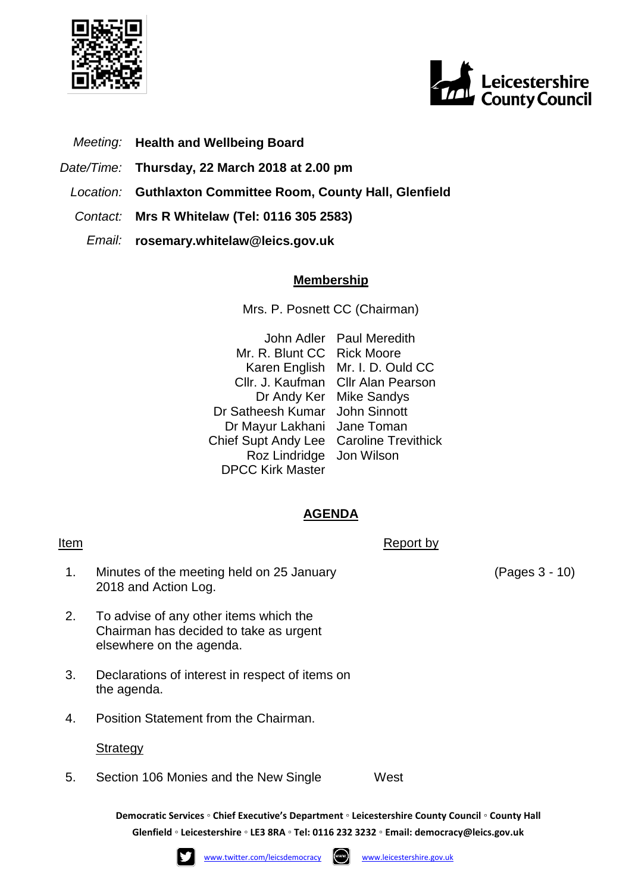



- *Meeting:* **Health and Wellbeing Board**
- *Date/Time:* **Thursday, 22 March 2018 at 2.00 pm**
- *Location:* **Guthlaxton Committee Room, County Hall, Glenfield**
- *Contact:* **Mrs R Whitelaw (Tel: 0116 305 2583)**
	- *Email:* **rosemary.whitelaw@leics.gov.uk**

## **Membership**

Mrs. P. Posnett CC (Chairman)

John Adler Paul Meredith Mr. R. Blunt CC Rick Moore Karen English Mr. I. D. Ould CC Cllr. J. Kaufman Cllr Alan Pearson Dr Andy Ker Mike Sandys Dr Satheesh Kumar John Sinnott Dr Mayur Lakhani Jane Toman Chief Supt Andy Lee Caroline Trevithick Roz Lindridge Jon Wilson DPCC Kirk Master

## **AGENDA**

## Item Report by The Report by The Report by The Report by The Report by The Report by The Report by The Report by The Report by The Report by The Report by The Report by The Report by The Report by The Report by The Report

- 1. Minutes of the meeting held on 25 January 2018 and Action Log.
- 2. To advise of any other items which the Chairman has decided to take as urgent elsewhere on the agenda.
- 3. Declarations of interest in respect of items on the agenda.
- 4. Position Statement from the Chairman.

## **Strategy**

5. Section 106 Monies and the New Single West

**Democratic Services ◦ Chief Executive's Department ◦ Leicestershire County Council ◦ County Hall Glenfield ◦ Leicestershire ◦ LE3 8RA ◦ Tel: 0116 232 3232 ◦ Email: [democracy@leics.gov.uk](mailto:democracy@leics.gov.uk)**





(Pages 3 - 10)